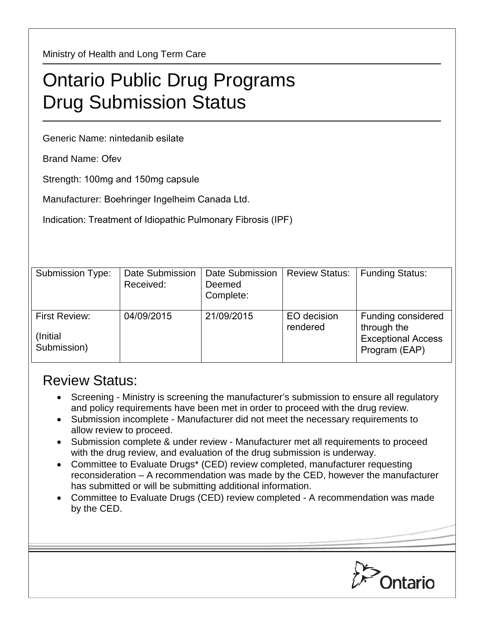Ministry of Health and Long Term Care

## Ontario Public Drug Programs Drug Submission Status

Generic Name: nintedanib esilate

Brand Name: Ofev

Strength: 100mg and 150mg capsule

Manufacturer: Boehringer Ingelheim Canada Ltd.

Indication: Treatment of Idiopathic Pulmonary Fibrosis (IPF)

| Submission Type:                          | Date Submission<br>Received: | <b>Date Submission</b><br>Deemed<br>Complete: | <b>Review Status:</b>   | <b>Funding Status:</b>                                                          |
|-------------------------------------------|------------------------------|-----------------------------------------------|-------------------------|---------------------------------------------------------------------------------|
| First Review:<br>(Initial)<br>Submission) | 04/09/2015                   | 21/09/2015                                    | EO decision<br>rendered | Funding considered<br>through the<br><b>Exceptional Access</b><br>Program (EAP) |

## Review Status:

- Screening Ministry is screening the manufacturer's submission to ensure all regulatory and policy requirements have been met in order to proceed with the drug review.
- Submission incomplete Manufacturer did not meet the necessary requirements to allow review to proceed.
- Submission complete & under review Manufacturer met all requirements to proceed with the drug review, and evaluation of the drug submission is underway.
- Committee to Evaluate Drugs\* (CED) review completed, manufacturer requesting reconsideration – A recommendation was made by the CED, however the manufacturer has submitted or will be submitting additional information.
- Committee to Evaluate Drugs (CED) review completed A recommendation was made by the CED.